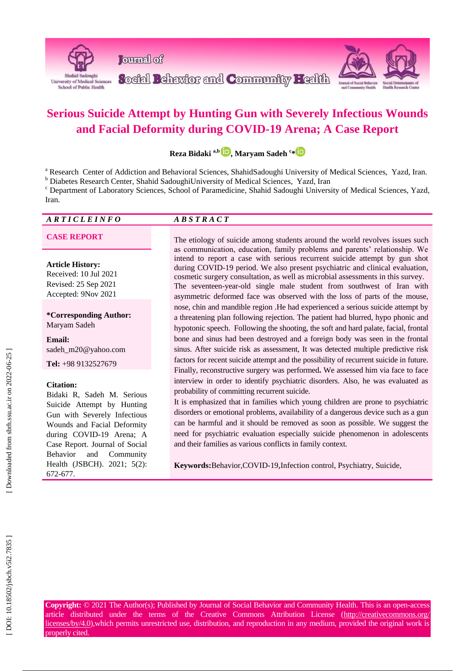

# **Serious Suicide Attempt by Hunting Gun with Severely Infectious Wounds and Facial Deformity during COVID -19 Arena; A Case Report**

**Reza Bidaki a , b [,](https://orcid.org/0000-0002-5482-9143) Maryam Sadeh c [\\*](https://orcid.org/0000-0002-1019-5038)**

<sup>a</sup> Research Center of Addiction and Behavioral Sciences, ShahidSadoughi University of Medical Sciences, Yazd, Iran.<br><sup>b</sup> Diabetes Research Center, Shahid SadoughiUniversity of Medical Sciences, Yazd, Iran c<br>Pepartment of L

# *A R T I C L E I N F O A B S T R A C T*

**Article History:** Received: 10 Jul 20 2 1 Revised: 25 Sep 2021 Accepted: 9Nov 2021

**\*Corresponding Author:** Maryam Sadeh

**Email:** sadeh\_m20@yahoo.com

**Tel:** +98 9132527679

#### **Citation:**

Bidaki R, Sadeh M . Serious Suicide Attempt by Hunting Gun with Severely Infectious Wounds and Facial Deformity during COVID -19 Arena; A Case Report. Journal of Social Behavior and Community Health (JSBCH). 2021; 5(2): 672 -677 .

**CASE REPORT** The etiology of suicide among students around the world revolves issues such as communication, education, family problems and parents' relationship. We intend to report a case with serious recurrent suicide attempt by gun shot during COVID -19 period. We also present psychiatric and clinical evaluation, cosmetic surgery consultation, as well as microbial assessments in this survey. The seventeen -year -old single male student from southwest of Iran with asymmetric deformed face was observed with the loss of parts of the mouse, nose, chin and mandible region .He had experienced a serious suicide attempt by a threatening plan following rejection. The patient had blurred, hypo phonic and hypotonic speech. Following the shooting, the soft and hard palate, facial, frontal bone and sinus had been destroyed and a foreign body was seen in the frontal sinus. After suicide risk as assessment , It was detected multiple predictive risk factors for recent suicide attempt and the possibility of recurrent suicide in future. Finally, reconstructive surgery was performed **.** We assessed him via face to face interview in order to identify psychiatric disorders. Also, he was evaluated as probability of committing recurrent suicide.

> It is emphasized that in families which young children are prone to psychiatric disorders or emotional problems, availability of a dangerous device such as a gun can be harmful and it should be removed as soon as possible. We suggest the need for psychiatric evaluation especially suicide phenomenon in adolescents and their families as various conflicts in family context.

**Keywords:**Behavior,COVID -19 ,Infection control, Psychiatry, Suicide,

**Copyright:** © 2021 The Author(s); Published by Journal of Social Behavior and Community Health. This is an open -access article distributed under the terms of the Creative Commons Attribution License (http://creativecommons.org/ licenses/by/4.0),which permits unrestricted use, distribution, and reproduction in any medium, provided the original work is properly cited.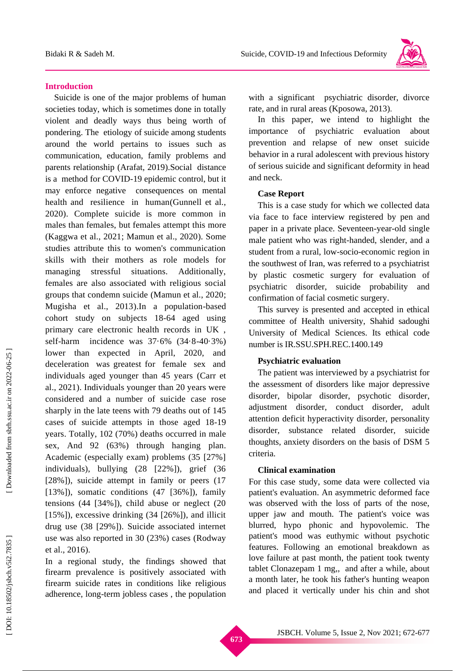

#### **Introduction**

Suicide is one of the major problems of human societies today, which is sometimes done in totally violent and deadly ways thus being worth of pondering. The etiology of suicide among students around the world pertains to issues such as communication, education, family problems and parents relationship (Arafat, 2019 ) .Social distance is a method for COVID -19 epidemic control, but it may enforce negative consequences on mental health and resilience in human (Gunnell et al., 2020 ). Complete suicide is more common in males than females, but females attempt this more (Kaggwa et al., 2021; Mamun et al., 2020). Some studies attribute this to women's communication skills with their mothers as role models for managing stressful situations. Additionally, females are also associated with religious social groups that condemn suicide (Mamun et al., 2020; Mugisha et al., 2013 ) .In a population -based cohort study on subjects 18 -64 aged using primary care electronic health records in UK , self-harm incidence was 37·6% (34·8-40·3%) lower than expected in April, 2020, and deceleration was greatest for female sex and individuals aged younger than 45 years (Carr et al., 2021 ). Individuals younger than 20 years were considered and a number of suicide case rose sharply in the late teens with 79 deaths out of 145 cases of suicide attempts in those aged 18 -19 years. Totally, 102 (70%) deaths occurred in male sex , And 92 (63%) through hanging plan. Academic (especially exam) problems (35 [27%] individuals), bullying (28 [22%]), grief (36 [28%]), suicide attempt in family or peers (17 [13%]), somatic conditions (47 [36%]), family tensions (44 [34%]), child abuse or neglect (20  $[15\%]$ , excessive drinking  $(34 \; [26\%])$ , and illicit drug use (38 [29%]). Suicide associated internet use was also reported in 30 (23%) cases (Rodway et al., 2016 ) .

In a regional study, the findings showed that firearm prevalence is positively associated with firearm suicide rates in conditions like religious adherence, long -term jobless cases , the population with a significant psychiatric disorder, divorce rate, and in rural areas (Kposowa, 2013 ) .

In this paper, we intend to highlight the importance of psychiatric evaluation about prevention and relapse of new onset suicide behavior in a rural adolescent with previous history of serious suicide and significant deformity in head and neck.

#### **Case Report**

This is a case study for which we collected data via face to face interview registered by pen and paper in a private place. Seventeen -year -old single male patient who was right -handed, slender, and a student from a rural, low -socio -economic region in the southwest of Iran, was referred to a psychiatrist by plastic cosmetic surgery for evaluation of psychiatric disorder, suicide probability and confirmation of facial cosmetic surgery.

This survey is presented and accepted in ethical committee of Health university, Shahid sadoughi University of Medical Sciences. Its ethical code number is IR.SSU.SPH.REC.1400.149

# **Psychiatric evaluation**

The patient was interviewed by a psychiatrist for the assessment of disorders like major depressive disorder, bipolar disorder, psychotic disorder, adjustment disorder, conduct disorder, adult attention deficit hyperactivity disorder, personality disorder, substance related disorder, suicide thoughts, anxiety disorders on the basis of DSM 5 criteria.

# **Clinical examination**

For this case study , some data were collected via patient's evaluation. An asymmetric deformed face was observed with the loss of parts of the nose, upper jaw and mouth. The patient's voice was blurred, hypo phonic and hypovolemic. The patient's mood was euthymic without psychotic feature s. Following an emotional breakdown as love failure at past month, the patient took twenty tablet Clonazepam 1 mg, , and after a while, about a month later, he took his father's hunting weapon and placed it vertically under his chin and shot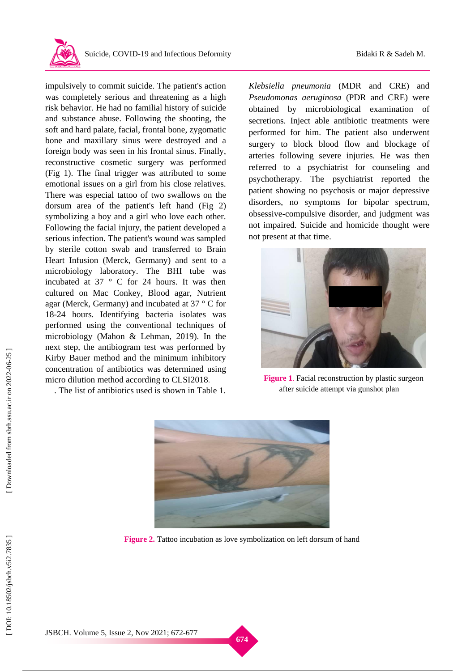

impulsively to commit suicide. The patient's action was completely serious and threatening as a high risk behavior. He had no familial history of suicide and substance abuse. Following the shooting, the soft and hard palate, facial, frontal bone , zygomatic bone and maxillary sinus were destroyed and a foreign body was seen in his frontal sinus. Finally, reconstructive cosmetic surgery was performed (Fig 1). The final trigger was attributed to some emotional issues on a girl from his close relatives. There was especial tattoo of two swallows on the dorsum area of the patient's left hand (Fig 2) symbolizing a boy and a girl who love each other. Following the facial injury, the patient developed a serious infection. The patient's wound was sampled by sterile cotton swab and transferred to Brain Heart Infusion (Merck, Germany) and sent to a microbiology laboratory. The BHI tube was incubated at 37 ° C for 24 hours. It was then cultured on Mac Conkey, Blood agar, Nutrient agar (Merck, Germany) and incubated at 37 ° C for 18 -24 hours. Identifying bacteria isolates was performed using the conventional techniques of microbiology (Mahon & Lehman, 2019 ). In the next step, the antibiogram test was performed by Kirby Bauer method and the minimum inhibitory concentration of antibiotics was determined using micro dilution method according to CLSI2018 .

. The list of antibiotics used is shown in Table 1.

*Klebsiella pneumonia* (MDR and CRE) and *Pseudomonas aeruginosa* (PDR and CRE) were obtained by microbiological examination of secretions. Inject able antibiotic treatments were performed for him. The patient also underwent

surgery to block blood flow and blockage of arteries following severe injuries. He was then referred to a psychiatrist for counseling and psychotherapy. The psychiatrist reported the patient showing no psychosis or major depressive disorder s, no symptoms for bipolar spectrum, obsessive -compulsive disorder, and judgment was not impaired. Suicide and homicide thought were not present at that time.



Figure 1. Facial reconstruction by plastic surgeon after suicide attempt via gunshot plan



**Figure 2 .** Tattoo incubation as love symbolization on left dorsum of hand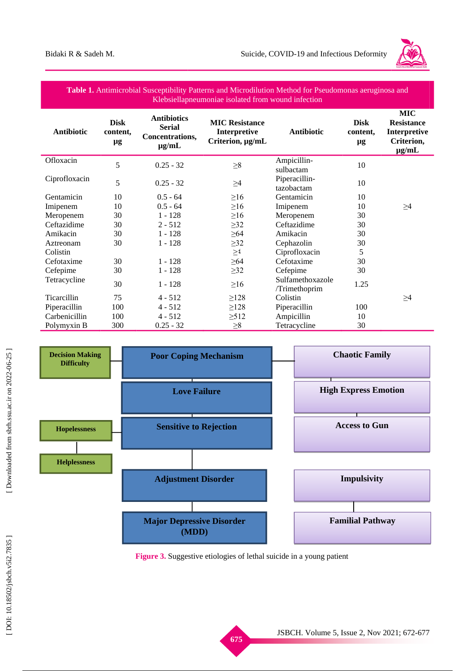

### **Table 1.** Antimicrobial Susceptibility Patterns and Microdilution Method for Pseudomonas aeruginosa and Klebsiellapneumoniae isolated from wound infection

| <b>Antibiotic</b>  | <b>Disk</b><br>content,<br>μg | <b>Antibiotics</b><br><b>Serial</b><br>Concentrations,<br>$\mu$ g/mL | <b>MIC Resistance</b><br>Interpretive<br>Criterion, µg/mL | <b>Antibiotic</b>                 | <b>Disk</b><br>content,<br>$\mu$ g | <b>MIC</b><br><b>Resistance</b><br><b>Interpretive</b><br>Criterion,<br>$\mu$ g/mL |
|--------------------|-------------------------------|----------------------------------------------------------------------|-----------------------------------------------------------|-----------------------------------|------------------------------------|------------------------------------------------------------------------------------|
| Ofloxacin          | 5                             | $0.25 - 32$                                                          | $\geq 8$                                                  | Ampicillin-<br>sulbactam          | 10                                 |                                                                                    |
| Ciprofloxacin      | 5                             | $0.25 - 32$                                                          | $\geq 4$                                                  | Piperacillin-<br>tazobactam       | 10                                 |                                                                                    |
| Gentamicin         | 10                            | $0.5 - 64$                                                           | $\geq 16$                                                 | Gentamicin                        | 10                                 |                                                                                    |
| Imipenem           | 10                            | $0.5 - 64$                                                           | $\geq 16$                                                 | Imipenem                          | 10                                 | $\geq 4$                                                                           |
| Meropenem          | 30                            | $1 - 128$                                                            | $\geq$ 16                                                 | Meropenem                         | 30                                 |                                                                                    |
| Ceftazidime        | 30                            | $2 - 512$                                                            | $\geq$ 32                                                 | Ceftazidime                       | 30                                 |                                                                                    |
| Amikacin           | 30                            | $1 - 128$                                                            | $\geq 64$                                                 | Amikacin                          | 30                                 |                                                                                    |
| Aztreonam          | 30                            | $1 - 128$                                                            | $\geq$ 32                                                 | Cephazolin                        | 30                                 |                                                                                    |
| Colistin           |                               |                                                                      | $\geq\!$                                                  | Ciprofloxacin                     | 5                                  |                                                                                    |
| Cefotaxime         | 30                            | $1 - 128$                                                            | $\geq 64$                                                 | Cefotaxime                        | 30                                 |                                                                                    |
| Cefepime           | 30                            | $1 - 128$                                                            | $\geq$ 32                                                 | Cefepime                          | 30                                 |                                                                                    |
| Tetracycline       | 30                            | $1 - 128$                                                            | $\geq 16$                                                 | Sulfamethoxazole<br>/Trimethoprim | 1.25                               |                                                                                    |
| <b>Ticarcillin</b> | 75                            | $4 - 512$                                                            | $\geq$ 128                                                | Colistin                          |                                    | $\geq 4$                                                                           |
| Piperacillin       | 100                           | $4 - 512$                                                            | $\geq$ 128                                                | Piperacillin                      | 100                                |                                                                                    |
| Carbenicillin      | 100                           | $4 - 512$                                                            | $\geq$ 512                                                | Ampicillin                        | 10                                 |                                                                                    |
| Polymyxin B        | 300                           | $0.25 - 32$                                                          | $\geq 8$                                                  | Tetracycline                      | 30                                 |                                                                                    |



**Figure 3 .** Suggestive etiologies of lethal suicide in a young patient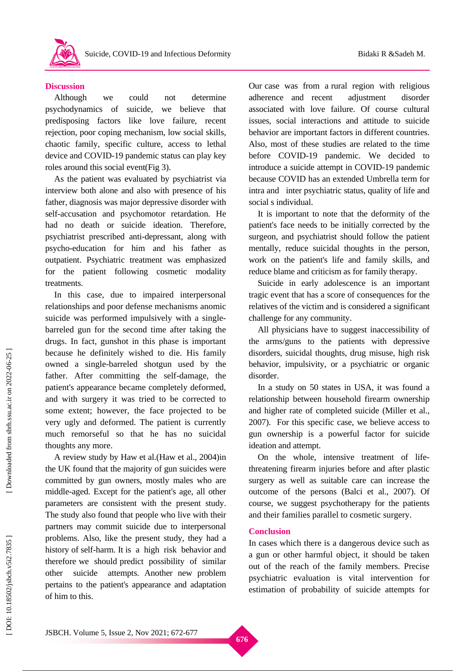# **Discussion**

Although we could not determine psychodynamic s of suicide, we believe that predisposing factors like love failure, recent rejection, poor coping mechanism, low social skills, chaotic family, specific culture, access to lethal device and COVID -19 pandemic status can play key roles around this social event(Fig 3).

As the patient was evaluated by psychiatrist via interview both alone and also with presence of his father, diagnosis was major depressive disorder with self-accusation and psychomotor retardation. He had no death or suicide ideation. Therefore, psychiatrist prescribed anti -depressant, along with psycho -education for him and his father as outpatient. Psychiatric treatment was emphasized for the patient following cosmetic modality treatments.

In this case, due to impaired interpersonal relationships and poor defense mechanisms anomic suicide was performed impulsively with a singlebarreled gun for the second time after taking the drugs. In fact, gunshot in this phase is important because he definitely wished to die. His family owned a single -barreled shotgun used by the father. After committing the self-damage, the patient's appearance became completely deformed, and with surgery it was tried to be corrected to some extent ; however, the face projected to be very ugly and deformed. The patient is currently much remorseful so that he has no suicidal thoughts any more.

A review study by Haw et al. (Haw et al., 2004 )in the UK found that the majority of gun suicides were committed by gun owners, mostly males who are middle -aged. Except for the patient's age, all other parameters are consistent with the present study. The study also found that people who live with their partners may commit suicide due to interpersonal problems. Also, like the present study, they had a history of self-harm. It is a high risk behavior and therefore we should predict possibility of similar other suicide attempt s. Another new problem pertains to the patient's appearance and adaptation of him to this .

Our case was from a rural region with religious adherence and recent adjustment disorder associated with love failure . Of course cultural issues , social interactions and attitude to suicide behavior are important factors in different countries. Also, most of these studies are related to the time before COVID -19 pandemic. We decided to introduce a suicide attempt in COVID -19 pandemic because COVID has an extended Umbrella term for intra and inter psychiatric status, quality of life and social s individual.

It is important to note that the deformity of the patient's face needs to be initially corrected by the surgeon , and psychiatrist should follow the patient mentally , reduce suicidal thoughts in the person , work on the patient's life and family skills , and reduce blame and criticism as for family therapy.

Suicide in early adolescence is an important tragic event that has a score of consequences for the relatives of the victim and is considered a significant challenge for any community.

All physicians have to suggest inaccessibility of the arms/guns to the patients with depressive disorders, suicidal thoughts, drug misuse, high risk behavior, impulsivity, or a psychiatric or organic disorder.

In a study on 50 states in USA, it was found a relationship between household firearm ownership and higher rate of completed suicide (Miller et al., 2007 ). For this specific case, we believe access to gun ownership is a powerful factor for suicide ideation and attempt.

On the whole, intensive treatment of life threatening firearm injuries before and after plastic surgery as well as suitable care can increase the outcome of the persons (Balci et al., 2007 ). Of course , we suggest psychotherapy for the patients and their families parallel to cosmetic surgery.

# **Conclusion**

In cases which there is a dangerous device such as a gun or other harmful object, it should be taken out of the reach of the family members. Precise psychiatric evaluation is vital intervention for estimation of probability of suicide attempts for